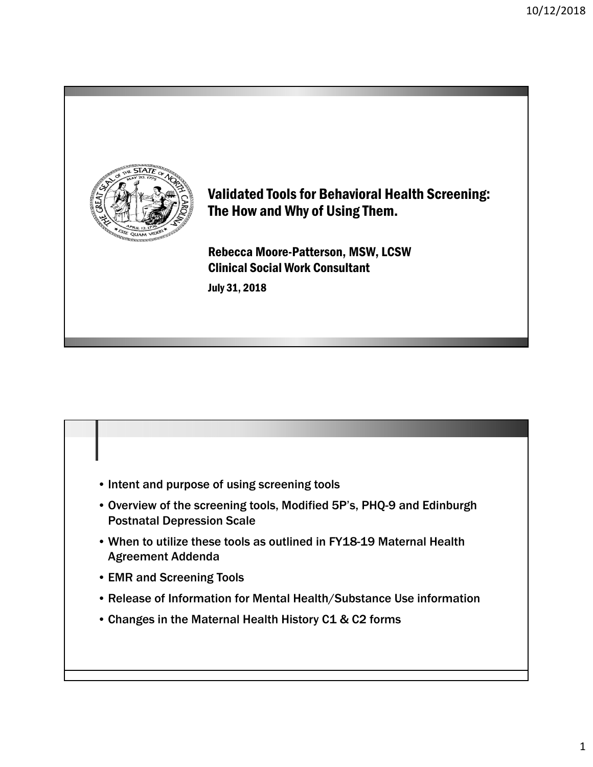

#### Validated Tools for Behavioral Health Screening: The How and Why of Using Them.

Rebecca Moore-Patterson, MSW, LCSW Clinical Social Work Consultant July 31, 2018

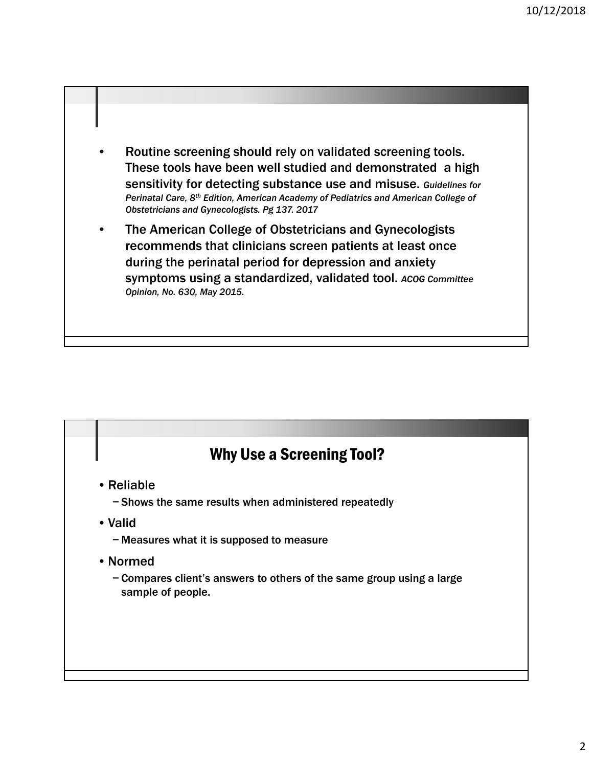- Routine screening should rely on validated screening tools. These tools have been well studied and demonstrated a high sensitivity for detecting substance use and misuse. *Guidelines for Perinatal Care, 8th Edition, American Academy of Pediatrics and American College of Obstetricians and Gynecologists. Pg 137. 2017*
- The American College of Obstetricians and Gynecologists recommends that clinicians screen patients at least once during the perinatal period for depression and anxiety symptoms using a standardized, validated tool. *ACOG Committee Opinion, No. 630, May 2015.*

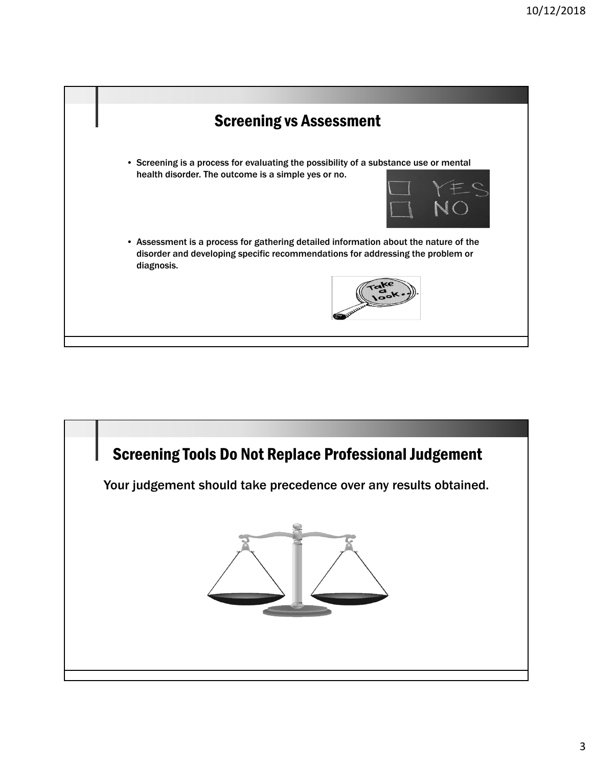

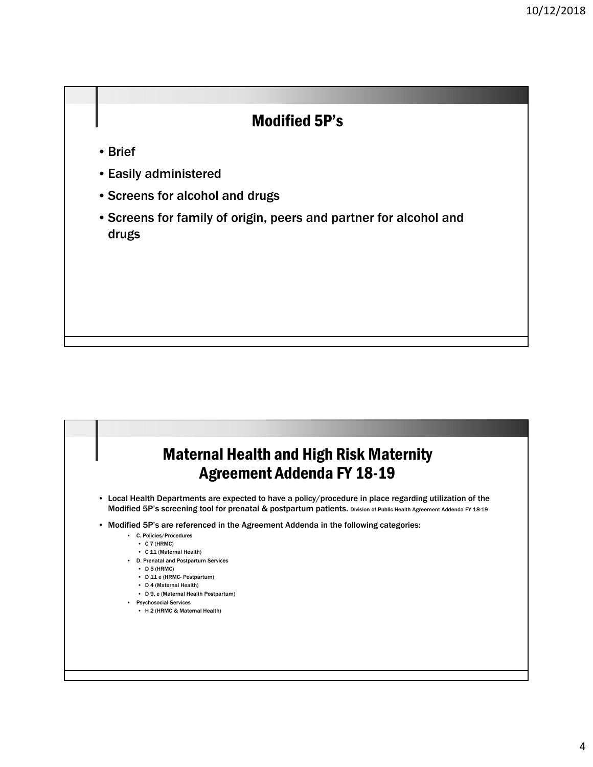#### Modified 5P's

- Brief
- Easily administered
- Screens for alcohol and drugs
- Screens for family of origin, peers and partner for alcohol and drugs

#### Maternal Health and High Risk Maternity Agreement Addenda FY 18-19 • Local Health Departments are expected to have a policy/procedure in place regarding utilization of the Modified 5P's screening tool for prenatal & postpartum patients. Division of Public Health Agreement Addenda FY 18-19 • Modified 5P's are referenced in the Agreement Addenda in the following categories: • C. Policies/Procedures • C 7 (HRMC) • C 11 (Maternal Health) • D. Prenatal and Postpartum Services • D 5 (HRMC) • D 11 e (HRMC- Postpartum) • D 4 (Maternal Health) • D 9, e (Maternal Health Postpartum) • Psychosocial Services • H 2 (HRMC & Maternal Health)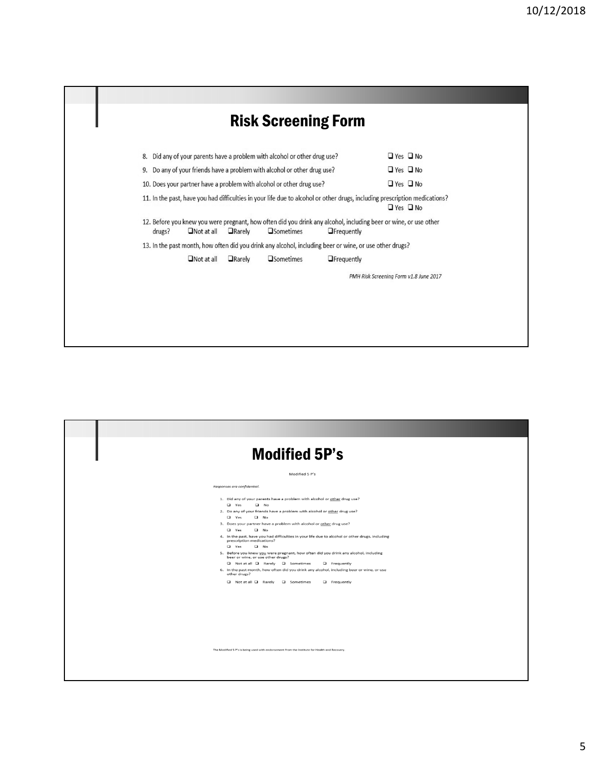| 8.     |                   |                 | Did any of your parents have a problem with alcohol or other drug use?   |                                                                                                         | $\Box$ Yes $\Box$ No                                                                                                                               |
|--------|-------------------|-----------------|--------------------------------------------------------------------------|---------------------------------------------------------------------------------------------------------|----------------------------------------------------------------------------------------------------------------------------------------------------|
|        |                   |                 | 9. Do any of your friends have a problem with alcohol or other drug use? |                                                                                                         | $\Box$ Yes $\Box$ No                                                                                                                               |
|        |                   |                 | 10. Does your partner have a problem with alcohol or other drug use?     |                                                                                                         | $\Box$ Yes $\Box$ No                                                                                                                               |
|        |                   |                 |                                                                          |                                                                                                         | 11. In the past, have you had difficulties in your life due to alcohol or other drugs, including prescription medications?<br>$\Box$ Yes $\Box$ No |
| drugs? | $\Box$ Not at all | $\Box$ Rarely   | <b>Sometimes</b>                                                         | <b>OF</b> requently                                                                                     | 12. Before you knew you were pregnant, how often did you drink any alcohol, including beer or wine, or use other                                   |
|        |                   |                 |                                                                          | 13. In the past month, how often did you drink any alcohol, including beer or wine, or use other drugs? |                                                                                                                                                    |
|        | $\Box$ Not at all | <b>O</b> Rarely | <b>O</b> Sometimes                                                       | <b>O</b> Frequently                                                                                     |                                                                                                                                                    |
|        |                   |                 |                                                                          |                                                                                                         | PMH Risk Screening Form v1.8 June 2017                                                                                                             |

| <b>Modified 5P's</b>                                                                                                                                                                                                                                                                                                                                                                                                                                                                                                                                                                                                                                                                                                                                                                                                                       |
|--------------------------------------------------------------------------------------------------------------------------------------------------------------------------------------------------------------------------------------------------------------------------------------------------------------------------------------------------------------------------------------------------------------------------------------------------------------------------------------------------------------------------------------------------------------------------------------------------------------------------------------------------------------------------------------------------------------------------------------------------------------------------------------------------------------------------------------------|
| Modified 5 P's                                                                                                                                                                                                                                                                                                                                                                                                                                                                                                                                                                                                                                                                                                                                                                                                                             |
| Responses are confidential.                                                                                                                                                                                                                                                                                                                                                                                                                                                                                                                                                                                                                                                                                                                                                                                                                |
| 1. Did any of your parents have a problem with alcohol or other drug use?<br>$\Box$ Yes<br>$\Box$ No<br>2. Do any of your friends have a problem with alcohol or other drug use?<br>$\Box$ Yes<br>$\Box$ No<br>3. Does your partner have a problem with alcohol or other drug use?<br>$\Box$ No<br>$\Box$ Yes<br>4. In the past, have you had difficulties in your life due to alcohol or other drugs, including<br>prescription medications?<br>$\Box$ Yes<br>$\Box$ No<br>5. Before you knew you were pregnant, how often did you drink any alcohol, including<br>beer or wine, or use other drugs?<br>□ Not at all □ Rarely □ Sometimes<br><b>a</b> Frequently<br>6. In the past month, how often did you drink any alcohol, including beer or wine, or use<br>other drugs?<br>□ Not at all □ Rarely □ Sometimes<br><b>G</b> Frequently |
| The Modified 5 P's is being used with endorsement from the institute for Health and Recovery.                                                                                                                                                                                                                                                                                                                                                                                                                                                                                                                                                                                                                                                                                                                                              |
|                                                                                                                                                                                                                                                                                                                                                                                                                                                                                                                                                                                                                                                                                                                                                                                                                                            |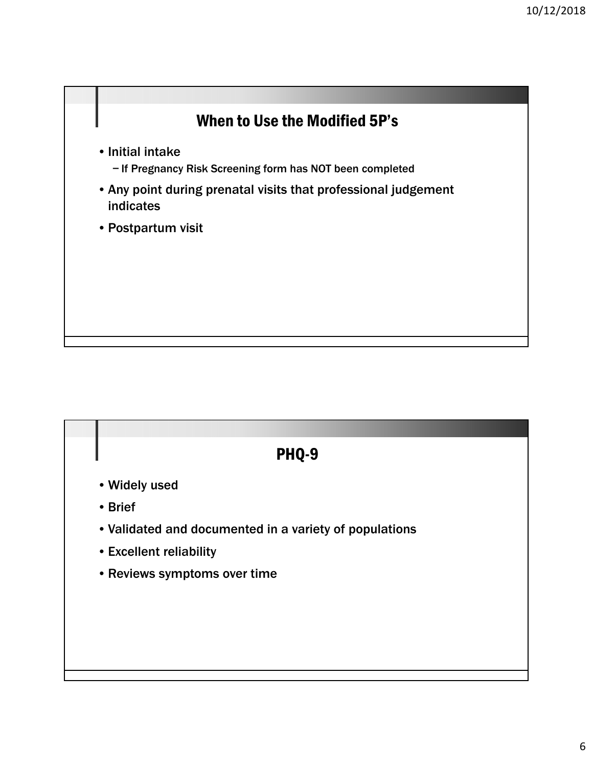

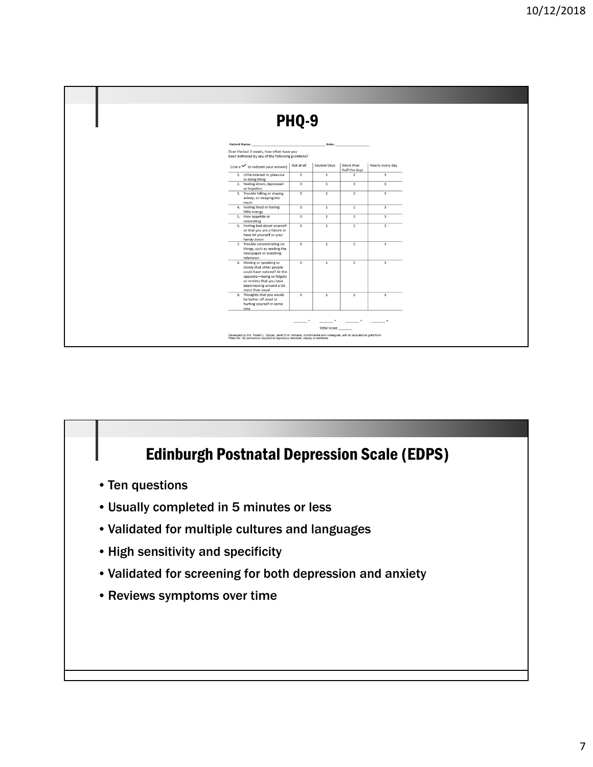

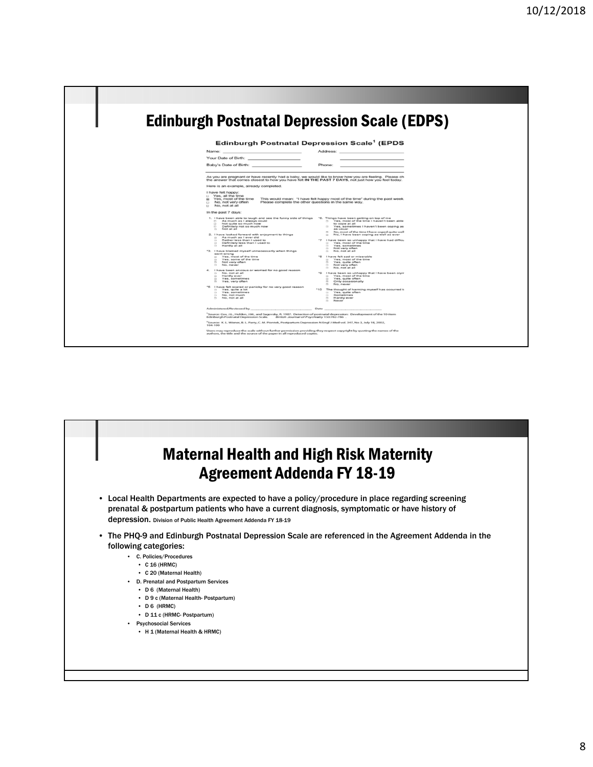

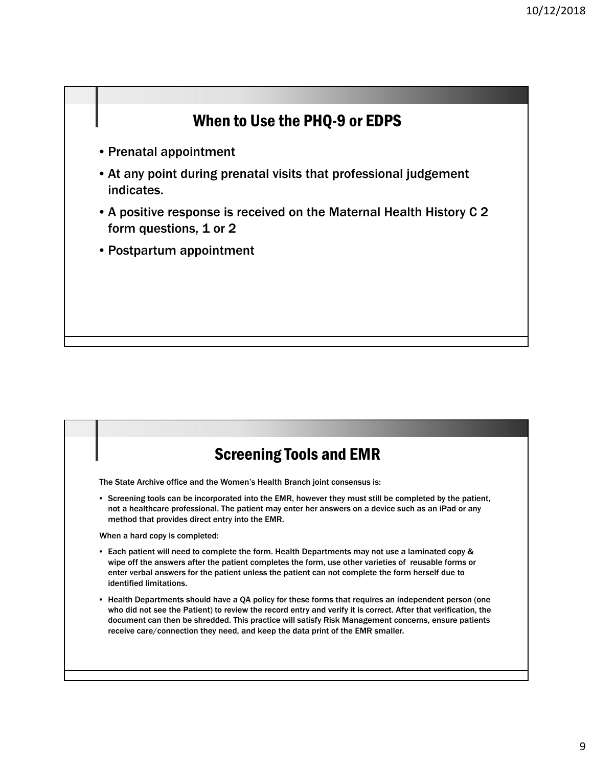## When to Use the PHQ-9 or EDPS

- Prenatal appointment
- At any point during prenatal visits that professional judgement indicates.
- A positive response is received on the Maternal Health History C 2 form questions, 1 or 2
- Postpartum appointment

## Screening Tools and EMR

The State Archive office and the Women's Health Branch joint consensus is:

• Screening tools can be incorporated into the EMR, however they must still be completed by the patient, not a healthcare professional. The patient may enter her answers on a device such as an iPad or any method that provides direct entry into the EMR.

When a hard copy is completed:

- Each patient will need to complete the form. Health Departments may not use a laminated copy & wipe off the answers after the patient completes the form, use other varieties of reusable forms or enter verbal answers for the patient unless the patient can not complete the form herself due to identified limitations.
- Health Departments should have a QA policy for these forms that requires an independent person (one who did not see the Patient) to review the record entry and verify it is correct. After that verification, the document can then be shredded. This practice will satisfy Risk Management concerns, ensure patients receive care/connection they need, and keep the data print of the EMR smaller.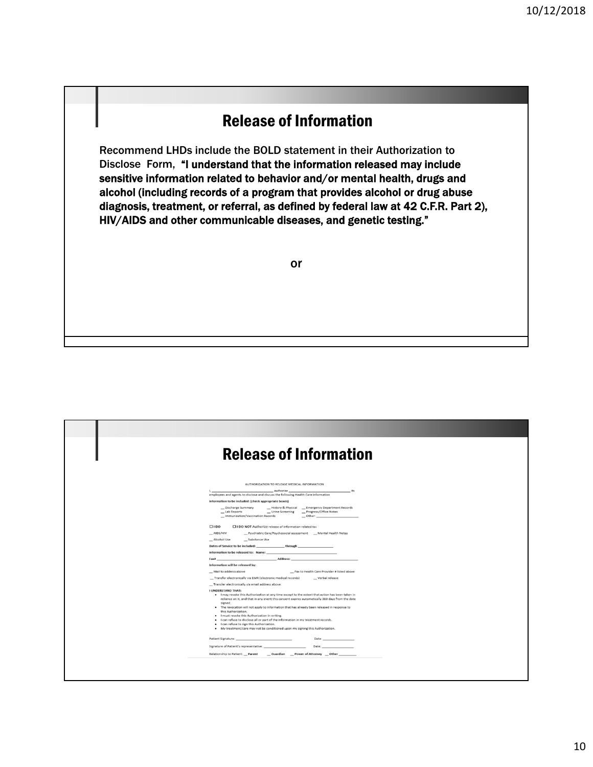### Release of Information

Recommend LHDs include the BOLD statement in their Authorization to Disclose Form, "I understand that the information released may include sensitive information related to behavior and/or mental health, drugs and alcohol (including records of a program that provides alcohol or drug abuse diagnosis, treatment, or referral, as defined by federal law at 42 C.F.R. Part 2), HIV/AIDS and other communicable diseases, and genetic testing."

or

| <b>Release of Information</b>                                                                                                                                                                                                                                                                                                                                                                                                                                                                                                                                                                                                                                                                                                                                                                                                                                                                                                                                                                                                                                                                                                                                                                                                                                                                                                                                                                                                                                                                                                                                                                                                                                                                                                                                                            |  |
|------------------------------------------------------------------------------------------------------------------------------------------------------------------------------------------------------------------------------------------------------------------------------------------------------------------------------------------------------------------------------------------------------------------------------------------------------------------------------------------------------------------------------------------------------------------------------------------------------------------------------------------------------------------------------------------------------------------------------------------------------------------------------------------------------------------------------------------------------------------------------------------------------------------------------------------------------------------------------------------------------------------------------------------------------------------------------------------------------------------------------------------------------------------------------------------------------------------------------------------------------------------------------------------------------------------------------------------------------------------------------------------------------------------------------------------------------------------------------------------------------------------------------------------------------------------------------------------------------------------------------------------------------------------------------------------------------------------------------------------------------------------------------------------|--|
|                                                                                                                                                                                                                                                                                                                                                                                                                                                                                                                                                                                                                                                                                                                                                                                                                                                                                                                                                                                                                                                                                                                                                                                                                                                                                                                                                                                                                                                                                                                                                                                                                                                                                                                                                                                          |  |
| AUTHORIZATION TO RELEASE MEDICAL INFORMATION<br>_authorize<br>_its<br>employees and agents to disclose and discuss the following Health Care information<br>Information to be included: (check appropriate boxes)<br>_ Discharge Summary _________ History & Physical _____ Emergency Department Records<br>_ Lab Reports<br>_ Urine Screening _ _ Progress/Office Notes<br>_ Immunization/Vaccination Records<br>$_$ Other: $_$<br>$\square$ I DO<br>□ I DO NOT Authorize release of information related to:<br>_ Psychiatric Care/Psychosocial assessment _ _ Mental Health Notes<br>$-$ AIDS/HIV<br>_ Alcohol Use<br>_ Substance Use<br>Dates of Service to be included: _______________through ________________________<br>Information to be released to: Name:<br>Information will be released by:<br>Mail to address above<br>_ Fax to Health Care Provider # listed above<br>_ Transfer electronically via EMR (electronic medical records)<br>__ Verbal release<br>_ Transfer electronically via email address above.<br><b>I UNDERSTAND THAT:</b><br>. I may revoke this Authorization at any time except to the extent that action has been taken in<br>reliance on it, and that in any event this consent expires automatically 360 days from the date<br>signed.<br>. The revocation will not apply to information that has already been released in response to<br>this Authorization.<br>. I must revoke this Authorization in writing.<br>. I can refuse to disclose all or part of the information in my treatment records.<br>. I can refuse to sign this Authorization.<br>. My treatment/care may not be conditioned upon my signing this Authorization.<br>Date: _________<br>Relationship to Patient: __ Parent __ Guardian __ Power of Attorney __ Other _________ |  |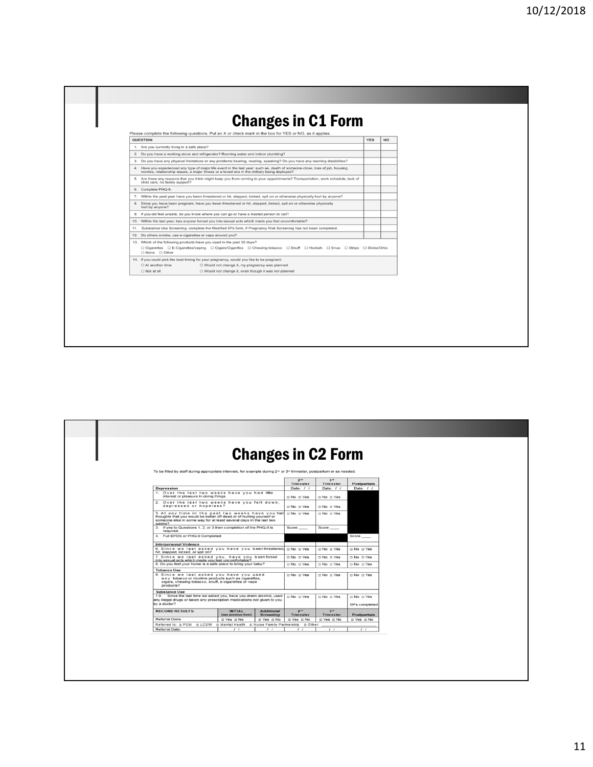| 2. Do you have a working stove and refrigerator? Running water and indoor plumbing?<br>3. Do you have any physical limitations or any problems hearing, reading, speaking? Do you have any learning disabilities?<br>4. Have you experienced any type of major life event in the last year; such as, death of someone close, loss of job, housing<br>□ Cigarettes □ E-Cigarettes/vaping □ Cigars/Cigarillos □ Chewing tobacco □ Snuff □ Hookah □ Snus □ Strips □ Sticks/Orbs | <b>QUESTION</b>                                                                                                                                                   | <b>YES</b> | <b>NO</b> |  |
|------------------------------------------------------------------------------------------------------------------------------------------------------------------------------------------------------------------------------------------------------------------------------------------------------------------------------------------------------------------------------------------------------------------------------------------------------------------------------|-------------------------------------------------------------------------------------------------------------------------------------------------------------------|------------|-----------|--|
|                                                                                                                                                                                                                                                                                                                                                                                                                                                                              | 1. Are you currently living in a safe place?                                                                                                                      |            |           |  |
|                                                                                                                                                                                                                                                                                                                                                                                                                                                                              |                                                                                                                                                                   |            |           |  |
|                                                                                                                                                                                                                                                                                                                                                                                                                                                                              |                                                                                                                                                                   |            |           |  |
|                                                                                                                                                                                                                                                                                                                                                                                                                                                                              | worries, relationship issues, a major illness or a loved one in the military being deployed?                                                                      |            |           |  |
|                                                                                                                                                                                                                                                                                                                                                                                                                                                                              | 5. Are there any reasons that you think might keep you from coming to your appointments? Transportation, work schedule, lack of<br>child care, no family support? |            |           |  |
|                                                                                                                                                                                                                                                                                                                                                                                                                                                                              | 6. Complete PHQ-9.                                                                                                                                                |            |           |  |
|                                                                                                                                                                                                                                                                                                                                                                                                                                                                              | 7. Within the past year have you been threatened or hit, slapped, kicked, spit on or otherwise physically hurt by anyone?                                         |            |           |  |
|                                                                                                                                                                                                                                                                                                                                                                                                                                                                              | 8. Since you have been pregnant, have you been threatened or hit, slapped, kicked, spit on or otherwise physically<br>hurt by anyone?                             |            |           |  |
|                                                                                                                                                                                                                                                                                                                                                                                                                                                                              | 9. If you did feel unsafe, do you know where you can go or have a trusted person to call?                                                                         |            |           |  |
|                                                                                                                                                                                                                                                                                                                                                                                                                                                                              | 10. Within the last year, has anyone forced you into sexual acts which made you feel uncomfortable?                                                               |            |           |  |
|                                                                                                                                                                                                                                                                                                                                                                                                                                                                              | 11. Substance Use Screening: complete the Modified 5Ps form, if Pregnancy Risk Screening has not been completed.                                                  |            |           |  |
|                                                                                                                                                                                                                                                                                                                                                                                                                                                                              | 12. Do others smoke, use e-cigarettes or vape around you?                                                                                                         |            |           |  |
|                                                                                                                                                                                                                                                                                                                                                                                                                                                                              | 13. Which of the following products have you used in the past 30 days?<br>□ None □ Other                                                                          |            |           |  |
|                                                                                                                                                                                                                                                                                                                                                                                                                                                                              | 14. If you could pick the best timing for your pregnancy, would you like to be pregnant:                                                                          |            |           |  |
|                                                                                                                                                                                                                                                                                                                                                                                                                                                                              | $\Box$ At another time<br>□ Would not change it, my pregnancy was planned                                                                                         |            |           |  |
| □ Would not change it, even though it was not planned                                                                                                                                                                                                                                                                                                                                                                                                                        | $\Box$ Not at all                                                                                                                                                 |            |           |  |

|                                                                                                                                                                                                           |                                       |                                       |                              | <b>Changes in C2 Form</b>    |                      |
|-----------------------------------------------------------------------------------------------------------------------------------------------------------------------------------------------------------|---------------------------------------|---------------------------------------|------------------------------|------------------------------|----------------------|
| To be filled by staff during appropriate intervals, for example during 2 <sup>nd</sup> or 3 <sup>n</sup> trimester, postpartum or as needed.                                                              |                                       |                                       |                              |                              |                      |
|                                                                                                                                                                                                           |                                       |                                       | 2 <sup>na</sup><br>Trimester | 3 <sup>rd</sup><br>Trimester | Postpartum           |
| Depression                                                                                                                                                                                                |                                       |                                       | Date: $/ /$                  | Date: $/$ /                  | Date: $/ /$          |
| 1. Over the last two weeks have you had little<br>interest or pleasure in doing things.                                                                                                                   |                                       |                                       | □ No □ Yes                   | $\Box$ No $\Box$ Yes         |                      |
| 2. Over the last two weeks have you felt down.<br>depressed or hopeless?                                                                                                                                  |                                       |                                       | $\Box$ No $\Box$ Yes         | $\Box$ No $\Box$ Yes         |                      |
| 3. At any time in the past two weeks have you had<br>thoughts that you would be better off dead or of hurting yourself or<br>someone else in some way for at least several days in the last two<br>weeks? |                                       |                                       | □ No □ Yes                   | $\Box$ No $\Box$ Yes         |                      |
| 3. If yes to Questions 1, 2, or 3 then completion of the PHQ-9 is<br>required.                                                                                                                            |                                       |                                       | Score_                       | Score ____                   |                      |
| 4. Full EPDS or PHQ-9 Completed                                                                                                                                                                           |                                       |                                       |                              |                              | Score ___            |
| <b>Interpersonal Violence</b>                                                                                                                                                                             |                                       |                                       |                              |                              |                      |
| 6. Since we last asked you have you been threatened.<br>hit, slapped, kicked, or spit on?                                                                                                                 |                                       |                                       | □ No □ Yes                   | $\Box$ No $\Box$ Yes         | $\Box$ No $\Box$ Yes |
| 7. Since we last asked you, have you beenforced<br>into sexual acts which made you feel uncomfortable?                                                                                                    |                                       |                                       | $\square$ No $\square$ Yes   | $\Box$ No $\Box$ Yes         | $\Box$ No $\Box$ Yes |
| 8. Do you feel your home is a safe place to bring your baby?                                                                                                                                              |                                       |                                       | $\Box$ No $\Box$ Yes         | $\Box$ No $\Box$ Yes         | $\Box$ No $\Box$ Yes |
| <b>Tobacco Use</b>                                                                                                                                                                                        |                                       |                                       |                              |                              |                      |
| 9. Since we last asked you have you used<br>any tobacco or nicotine products such as cigarettes,<br>cigars, chewing tobacco, snuff, e-cigarettes or vape<br>products?                                     | $\Box$ No $\Box$ Yes                  | $\Box$ No $\Box$ Yes                  | $\Box$ No $\Box$ Yes         |                              |                      |
| <b>Substance Use</b>                                                                                                                                                                                      |                                       |                                       |                              |                              |                      |
| 10. Since the last time we asked you, have you drank alcohol, used<br>any illegal drugs or taken any prescription medications not given to you                                                            |                                       |                                       | $\Box$ No $\Box$ Yes         | $\Box$ No $\Box$ Yes         | $\Box$ No $\Box$ Yes |
| by a doctor?                                                                                                                                                                                              |                                       |                                       |                              |                              | 5P's completed       |
| <b>RECORD RESULTS:</b>                                                                                                                                                                                    | <b>INITIAL</b><br>(see previous form) | <b>Additional</b><br><b>Screening</b> | $2^{\omega}$<br>Trimester    | 3 <sup>rd</sup><br>Trimester | Postpartum           |
|                                                                                                                                                                                                           |                                       | □ Yes □ No                            | $\Box$ Yes $\Box$ No         | $\Box$ Yes $\Box$ No         | $\Box$ Yes $\Box$ No |
| Referral Done                                                                                                                                                                                             | □ Yes □ No                            |                                       |                              |                              |                      |
| Referred to: a PCM a LCSW a Mental Health a Nurse Family Partnership a Other:                                                                                                                             |                                       |                                       |                              |                              |                      |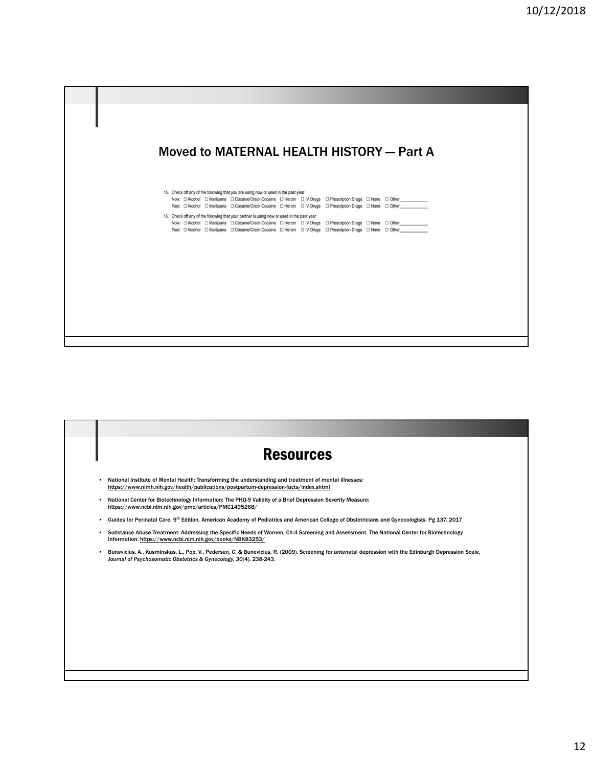